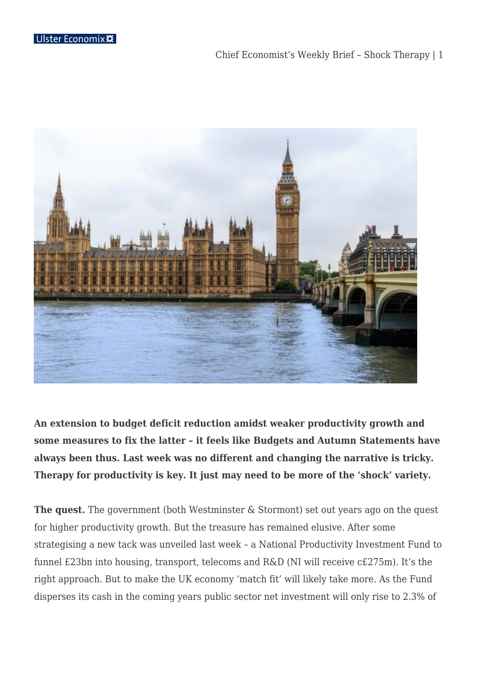

**An extension to budget deficit reduction amidst weaker productivity growth and some measures to fix the latter – it feels like Budgets and Autumn Statements have always been thus. Last week was no different and changing the narrative is tricky. Therapy for productivity is key. It just may need to be more of the 'shock' variety.** 

**The quest.** The government (both Westminster & Stormont) set out years ago on the quest for higher productivity growth. But the treasure has remained elusive. After some strategising a new tack was unveiled last week – a National Productivity Investment Fund to funnel £23bn into housing, transport, telecoms and R&D (NI will receive c£275m). It's the right approach. But to make the UK economy 'match fit' will likely take more. As the Fund disperses its cash in the coming years public sector net investment will only rise to 2.3% of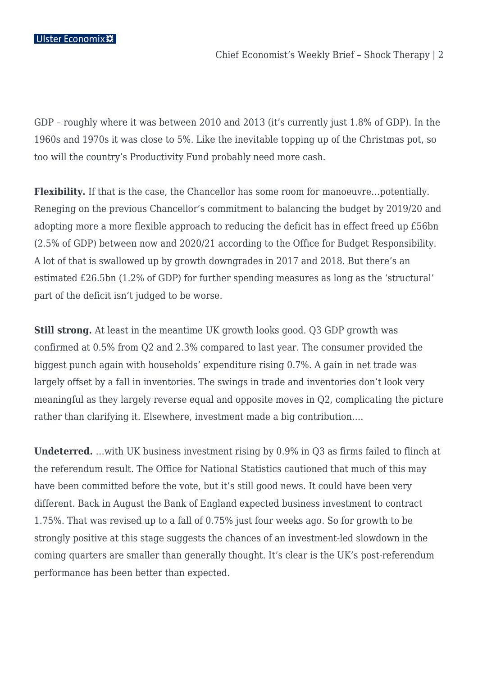GDP – roughly where it was between 2010 and 2013 (it's currently just 1.8% of GDP). In the 1960s and 1970s it was close to 5%. Like the inevitable topping up of the Christmas pot, so too will the country's Productivity Fund probably need more cash.

**Flexibility.** If that is the case, the Chancellor has some room for manoeuvre…potentially. Reneging on the previous Chancellor's commitment to balancing the budget by 2019/20 and adopting more a more flexible approach to reducing the deficit has in effect freed up £56bn (2.5% of GDP) between now and 2020/21 according to the Office for Budget Responsibility. A lot of that is swallowed up by growth downgrades in 2017 and 2018. But there's an estimated £26.5bn (1.2% of GDP) for further spending measures as long as the 'structural' part of the deficit isn't judged to be worse.

**Still strong.** At least in the meantime UK growth looks good. Q3 GDP growth was confirmed at 0.5% from Q2 and 2.3% compared to last year. The consumer provided the biggest punch again with households' expenditure rising 0.7%. A gain in net trade was largely offset by a fall in inventories. The swings in trade and inventories don't look very meaningful as they largely reverse equal and opposite moves in Q2, complicating the picture rather than clarifying it. Elsewhere, investment made a big contribution….

**Undeterred.** …with UK business investment rising by 0.9% in Q3 as firms failed to flinch at the referendum result. The Office for National Statistics cautioned that much of this may have been committed before the vote, but it's still good news. It could have been very different. Back in August the Bank of England expected business investment to contract 1.75%. That was revised up to a fall of 0.75% just four weeks ago. So for growth to be strongly positive at this stage suggests the chances of an investment-led slowdown in the coming quarters are smaller than generally thought. It's clear is the UK's post-referendum performance has been better than expected.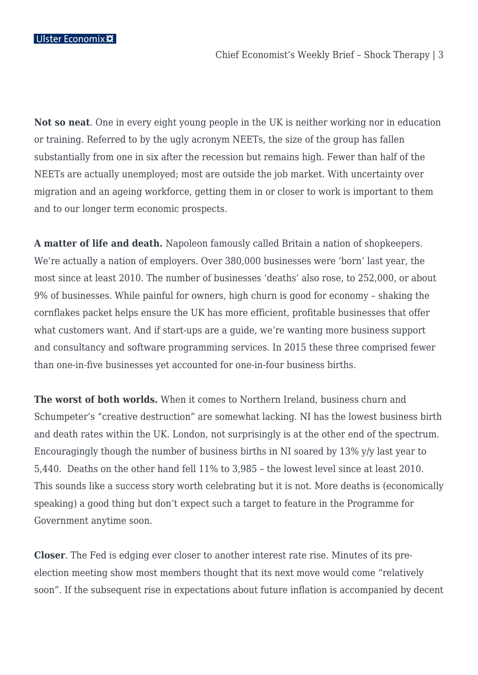**Not so neat**. One in every eight young people in the UK is neither working nor in education or training. Referred to by the ugly acronym NEETs, the size of the group has fallen substantially from one in six after the recession but remains high. Fewer than half of the NEETs are actually unemployed; most are outside the job market. With uncertainty over migration and an ageing workforce, getting them in or closer to work is important to them and to our longer term economic prospects.

**A matter of life and death.** Napoleon famously called Britain a nation of shopkeepers. We're actually a nation of employers. Over 380,000 businesses were 'born' last year, the most since at least 2010. The number of businesses 'deaths' also rose, to 252,000, or about 9% of businesses. While painful for owners, high churn is good for economy – shaking the cornflakes packet helps ensure the UK has more efficient, profitable businesses that offer what customers want. And if start-ups are a guide, we're wanting more business support and consultancy and software programming services. In 2015 these three comprised fewer than one-in-five businesses yet accounted for one-in-four business births.

**The worst of both worlds.** When it comes to Northern Ireland, business churn and Schumpeter's "creative destruction" are somewhat lacking. NI has the lowest business birth and death rates within the UK. London, not surprisingly is at the other end of the spectrum. Encouragingly though the number of business births in NI soared by 13% y/y last year to 5,440. Deaths on the other hand fell 11% to 3,985 – the lowest level since at least 2010. This sounds like a success story worth celebrating but it is not. More deaths is (economically speaking) a good thing but don't expect such a target to feature in the Programme for Government anytime soon.

**Closer**. The Fed is edging ever closer to another interest rate rise. Minutes of its preelection meeting show most members thought that its next move would come "relatively soon". If the subsequent rise in expectations about future inflation is accompanied by decent